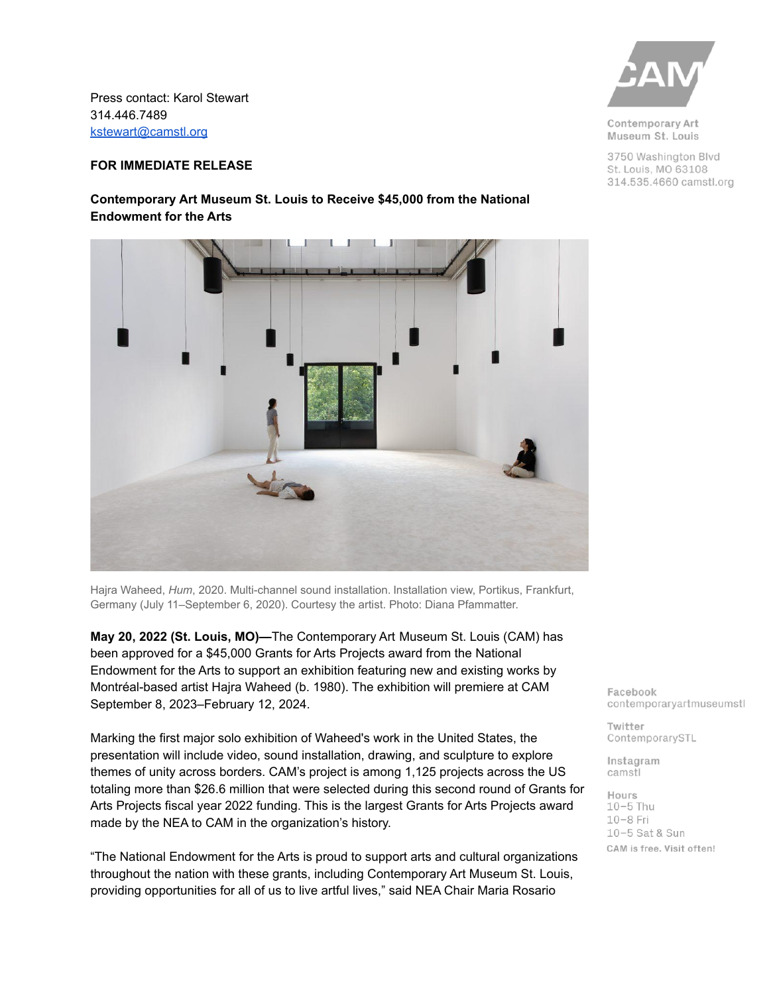Press contact: Karol Stewart 314.446.7489 [kstewart@camstl.org](mailto:kstewart@camstl.org)

## **FOR IMMEDIATE RELEASE**

## **Contemporary Art Museum St. Louis to Receive \$45,000 from the National Endowment for the Arts**



**May 20, 2022 (St. Louis, MO)—**The Contemporary Art Museum St. Louis (CAM) has been approved for a \$45,000 Grants for Arts Projects award from the National Endowment for the Arts to support an exhibition featuring new and existing works by Montréal-based artist Hajra Waheed (b. 1980). The exhibition will premiere at CAM September 8, 2023–February 12, 2024.

Marking the first major solo exhibition of Waheed's work in the United States, the presentation will include video, sound installation, drawing, and sculpture to explore themes of unity across borders. CAM's project is among 1,125 projects across the US totaling more than \$26.6 million that were selected during this second round of Grants for Arts Projects fiscal year 2022 funding. This is the largest Grants for Arts Projects award made by the NEA to CAM in the organization's history.

"The National Endowment for the Arts is proud to support arts and cultural organizations throughout the nation with these grants, including Contemporary Art Museum St. Louis, providing opportunities for all of us to live artful lives," said NEA Chair Maria Rosario



Contemporary Art Museum St. Louis

3750 Washington Blvd St. Louis, MO 63108 314.535.4660 camstl.org

Facebook contemporaryartmuseumstl

Twitter ContemporarySTL

Instagram camstl

Hours  $10-5$  Thu  $10-8$  Fri 10-5 Sat & Sun CAM is free. Visit often!